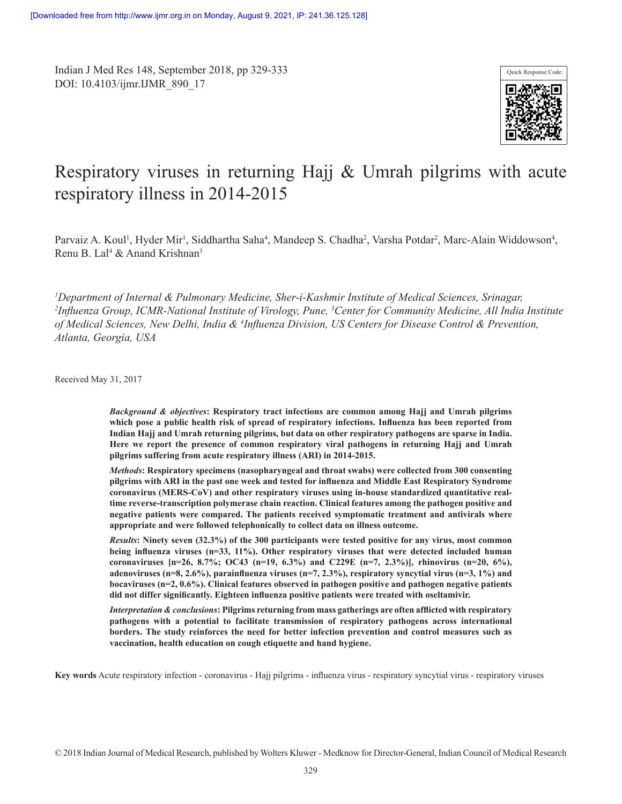Indian J Med Res 148, September 2018, pp 329-333 DOI: 10.4103/ijmr.IJMR\_890\_17



# Respiratory viruses in returning Hajj & Umrah pilgrims with acute respiratory illness in 2014-2015

Parvaiz A. Koul<sup>1</sup>, Hyder Mir<sup>1</sup>, Siddhartha Saha<sup>4</sup>, Mandeep S. Chadha<sup>2</sup>, Varsha Potdar<sup>2</sup>, Marc-Alain Widdowson<sup>4</sup>, Renu B. Lal<sup>4</sup> & Anand Krishnan<sup>3</sup>

*<sup>1</sup>Department of Internal & Pulmonary Medicine, Sher-i-Kashmir Institute of Medical Sciences, Srinagar, 2 Influenza Group, ICMR-National Institute of Virology, Pune, <sup>3</sup>Center for Community Medicine, All India Institute of Medical Sciences, New Delhi, India & <sup>4</sup> Influenza Division, US Centers for Disease Control & Prevention, Atlanta, Georgia, USA*

Received May 31, 2017

*Background & objectives***: Respiratory tract infections are common among Hajj and Umrah pilgrims which pose a public health risk of spread of respiratory infections. Influenza has been reported from Indian Hajj and Umrah returning pilgrims, but data on other respiratory pathogens are sparse in India. Here we report the presence of common respiratory viral pathogens in returning Hajj and Umrah pilgrims suffering from acute respiratory illness (ARI) in 2014-2015.**

*Methods***: Respiratory specimens (nasopharyngeal and throat swabs) were collected from 300 consenting pilgrims with ARI in the past one week and tested for influenza and Middle East Respiratory Syndrome coronavirus (MERS-CoV) and other respiratory viruses using in-house standardized quantitative realtime reverse-transcription polymerase chain reaction. Clinical features among the pathogen positive and negative patients were compared. The patients received symptomatic treatment and antivirals where appropriate and were followed telephonically to collect data on illness outcome.**

*Results***: Ninety seven (32.3%) of the 300 participants were tested positive for any virus, most common being influenza viruses (n=33, 11%). Other respiratory viruses that were detected included human coronaviruses [n=26, 8.7%; OC43 (n=19, 6.3%) and C229E (n=7, 2.3%)], rhinovirus (n=20, 6%), adenoviruses (n=8, 2.6%), parainfluenza viruses (n=7, 2.3%), respiratory syncytial virus (n=3, 1%) and bocaviruses (n=2, 0.6%). Clinical features observed in pathogen positive and pathogen negative patients did not differ significantly. Eighteen influenza positive patients were treated with oseltamivir.**

*Interpretation & conclusions***: Pilgrims returning from mass gatherings are often afflicted with respiratory pathogens with a potential to facilitate transmission of respiratory pathogens across international borders. The study reinforces the need for better infection prevention and control measures such as vaccination, health education on cough etiquette and hand hygiene.**

**Key words** Acute respiratory infection - coronavirus - Hajj pilgrims - influenza virus - respiratory syncytial virus - respiratory viruses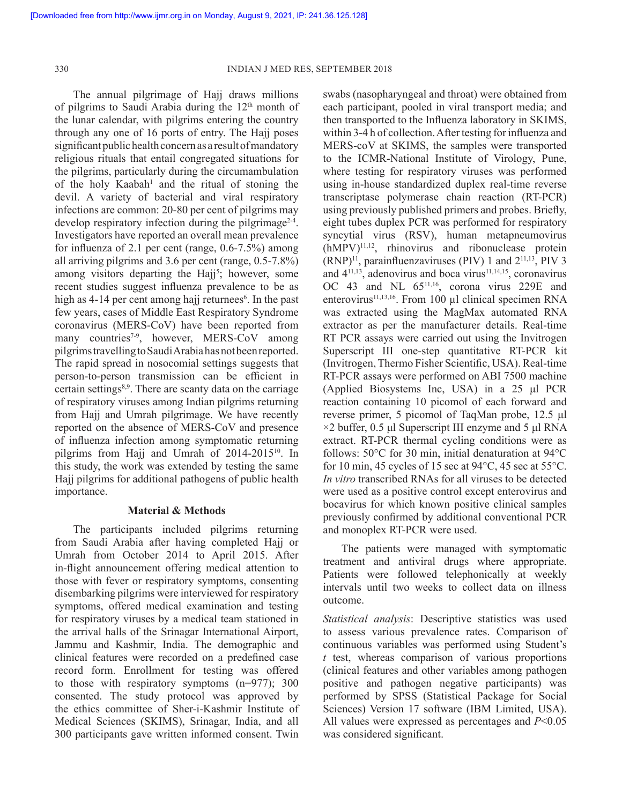The annual pilgrimage of Hajj draws millions of pilgrims to Saudi Arabia during the 12th month of the lunar calendar, with pilgrims entering the country through any one of 16 ports of entry. The Hajj poses significant public health concern as a result of mandatory religious rituals that entail congregated situations for the pilgrims, particularly during the circumambulation of the holy Kaabah<sup>1</sup> and the ritual of stoning the devil. A variety of bacterial and viral respiratory infections are common: 20-80 per cent of pilgrims may develop respiratory infection during the pilgrimage<sup>2-4</sup>. Investigators have reported an overall mean prevalence for influenza of 2.1 per cent (range, 0.6-7.5%) among all arriving pilgrims and 3.6 per cent (range, 0.5-7.8%) among visitors departing the Hajj<sup>5</sup>; however, some recent studies suggest influenza prevalence to be as high as 4-14 per cent among hajj returnees<sup>6</sup>. In the past few years, cases of Middle East Respiratory Syndrome coronavirus (MERS-CoV) have been reported from many countries<sup>7-9</sup>, however, MERS-CoV among pilgrims travelling to Saudi Arabia has not been reported. The rapid spread in nosocomial settings suggests that person-to-person transmission can be efficient in certain settings<sup>8,9</sup>. There are scanty data on the carriage of respiratory viruses among Indian pilgrims returning from Hajj and Umrah pilgrimage. We have recently reported on the absence of MERS-CoV and presence of influenza infection among symptomatic returning pilgrims from Hajj and Umrah of 2014-2015<sup>10</sup>. In this study, the work was extended by testing the same Hajj pilgrims for additional pathogens of public health importance.

# **Material & Methods**

The participants included pilgrims returning from Saudi Arabia after having completed Hajj or Umrah from October 2014 to April 2015. After in-flight announcement offering medical attention to those with fever or respiratory symptoms, consenting disembarking pilgrims were interviewed for respiratory symptoms, offered medical examination and testing for respiratory viruses by a medical team stationed in the arrival halls of the Srinagar International Airport, Jammu and Kashmir, India. The demographic and clinical features were recorded on a predefined case record form. Enrollment for testing was offered to those with respiratory symptoms (n=977); 300 consented. The study protocol was approved by the ethics committee of Sher-i-Kashmir Institute of Medical Sciences (SKIMS), Srinagar, India, and all 300 participants gave written informed consent. Twin

swabs (nasopharyngeal and throat) were obtained from each participant, pooled in viral transport media; and then transported to the Influenza laboratory in SKIMS, within 3-4 h of collection. After testing for influenza and MERS-coV at SKIMS, the samples were transported to the ICMR-National Institute of Virology, Pune, where testing for respiratory viruses was performed using in-house standardized duplex real-time reverse transcriptase polymerase chain reaction (RT-PCR) using previously published primers and probes. Briefly, eight tubes duplex PCR was performed for respiratory syncytial virus (RSV), human metapneumovirus (hMPV)11,12, rhinovirus and ribonuclease protein  $(RNP)^{11}$ , parainfluenzaviruses (PIV) 1 and  $2^{11,13}$ , PIV 3 and  $4^{11,13}$ , adenovirus and boca virus $11,14,15$ , coronavirus OC 43 and NL 65<sup>11,16</sup>, corona virus 229E and enterovirus $11,13,16$ . From 100 µl clinical specimen RNA was extracted using the MagMax automated RNA extractor as per the manufacturer details. Real-time RT PCR assays were carried out using the Invitrogen Superscript III one-step quantitative RT-PCR kit (Invitrogen, Thermo Fisher Scientific, USA). Real-time RT-PCR assays were performed on ABI 7500 machine (Applied Biosystems Inc, USA) in a 25 μl PCR reaction containing 10 picomol of each forward and reverse primer, 5 picomol of TaqMan probe, 12.5 μl  $\times$ 2 buffer, 0.5 μl Superscript III enzyme and 5 μl RNA extract. RT-PCR thermal cycling conditions were as follows: 50°C for 30 min, initial denaturation at 94°C for 10 min, 45 cycles of 15 sec at  $94^{\circ}$ C, 45 sec at 55 $^{\circ}$ C. *In vitro* transcribed RNAs for all viruses to be detected were used as a positive control except enterovirus and bocavirus for which known positive clinical samples previously confirmed by additional conventional PCR and monoplex RT-PCR were used.

The patients were managed with symptomatic treatment and antiviral drugs where appropriate. Patients were followed telephonically at weekly intervals until two weeks to collect data on illness outcome.

*Statistical analysis*: Descriptive statistics was used to assess various prevalence rates. Comparison of continuous variables was performed using Student's *t* test, whereas comparison of various proportions (clinical features and other variables among pathogen positive and pathogen negative participants) was performed by SPSS (Statistical Package for Social Sciences) Version 17 software (IBM Limited, USA). All values were expressed as percentages and *P*<0.05 was considered significant.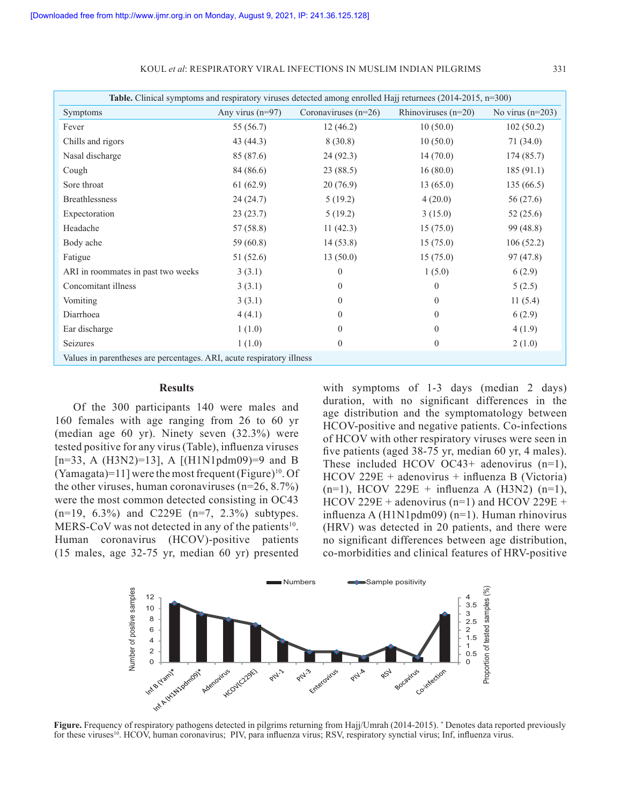KOUL *et al*: RESPIRATORY VIRAL INFECTIONS IN MUSLIM INDIAN PILGRIMS 331

| Table. Clinical symptoms and respiratory viruses detected among enrolled Hajj returnees (2014-2015, $n=300$ ) |                    |                        |                       |                    |
|---------------------------------------------------------------------------------------------------------------|--------------------|------------------------|-----------------------|--------------------|
| Symptoms                                                                                                      | Any virus $(n=97)$ | Coronaviruses $(n=26)$ | Rhinoviruses $(n=20)$ | No virus $(n=203)$ |
| Fever                                                                                                         | 55 (56.7)          | 12(46.2)               | 10(50.0)              | 102(50.2)          |
| Chills and rigors                                                                                             | 43 (44.3)          | 8(30.8)                | 10(50.0)              | 71(34.0)           |
| Nasal discharge                                                                                               | 85 (87.6)          | 24(92.3)               | 14(70.0)              | 174(85.7)          |
| Cough                                                                                                         | 84 (86.6)          | 23(88.5)               | 16(80.0)              | 185(91.1)          |
| Sore throat                                                                                                   | 61(62.9)           | 20(76.9)               | 13(65.0)              | 135(66.5)          |
| <b>Breathlessness</b>                                                                                         | 24 (24.7)          | 5(19.2)                | 4(20.0)               | 56 (27.6)          |
| Expectoration                                                                                                 | 23(23.7)           | 5(19.2)                | 3(15.0)               | 52(25.6)           |
| Headache                                                                                                      | 57(58.8)           | 11(42.3)               | 15(75.0)              | 99 (48.8)          |
| Body ache                                                                                                     | 59 (60.8)          | 14(53.8)               | 15(75.0)              | 106(52.2)          |
| Fatigue                                                                                                       | 51 (52.6)          | 13(50.0)               | 15(75.0)              | 97(47.8)           |
| ARI in roommates in past two weeks                                                                            | 3(3.1)             | $\theta$               | 1(5.0)                | 6(2.9)             |
| Concomitant illness                                                                                           | 3(3.1)             | $\Omega$               | $\Omega$              | 5(2.5)             |
| Vomiting                                                                                                      | 3(3.1)             | $\Omega$               | $\Omega$              | 11(5.4)            |
| Diarrhoea                                                                                                     | 4(4.1)             | $\Omega$               | $\Omega$              | 6(2.9)             |
| Ear discharge                                                                                                 | 1(1.0)             | $\Omega$               | $\Omega$              | 4(1.9)             |
| Seizures                                                                                                      | 1(1.0)             | $\theta$               | $\theta$              | 2(1.0)             |
| Values in parentheses are percentages. ARI, acute respiratory illness                                         |                    |                        |                       |                    |

## **Results**

Of the 300 participants 140 were males and 160 females with age ranging from 26 to 60 yr (median age 60 yr). Ninety seven (32.3%) were tested positive for any virus (Table), influenza viruses [n=33, A (H3N2)=13], A [(H1N1pdm09)=9 and B (Yamagata)=11] were the most frequent (Figure) <sup>10</sup>. Of the other viruses, human coronaviruses  $(n=26, 8.7%)$ were the most common detected consisting in OC43 (n=19, 6.3%) and C229E (n=7, 2.3%) subtypes. MERS-CoV was not detected in any of the patients<sup>10</sup>. Human coronavirus (HCOV)-positive patients (15 males, age 32-75 yr, median 60 yr) presented

with symptoms of 1-3 days (median 2 days) duration, with no significant differences in the age distribution and the symptomatology between HCOV-positive and negative patients. Co-infections of HCOV with other respiratory viruses were seen in five patients (aged 38-75 yr, median 60 yr, 4 males). These included HCOV OC43+ adenovirus (n=1), HCOV 229E + adenovirus + influenza B (Victoria)  $(n=1)$ , HCOV 229E + influenza A (H3N2)  $(n=1)$ ,  $HCOV 229E + adenovirus (n=1)$  and  $HCOV 229E +$ influenza A (H1N1pdm09) (n=1). Human rhinovirus (HRV) was detected in 20 patients, and there were no significant differences between age distribution, co-morbidities and clinical features of HRV-positive



Figure. Frequency of respiratory pathogens detected in pilgrims returning from Hajj/Umrah (2014-2015). *\** Denotes data reported previously for these viruses<sup>10</sup>. HCOV, human coronavirus; PIV, para influenza virus; RSV, respiratory synctial virus; Inf, influenza virus.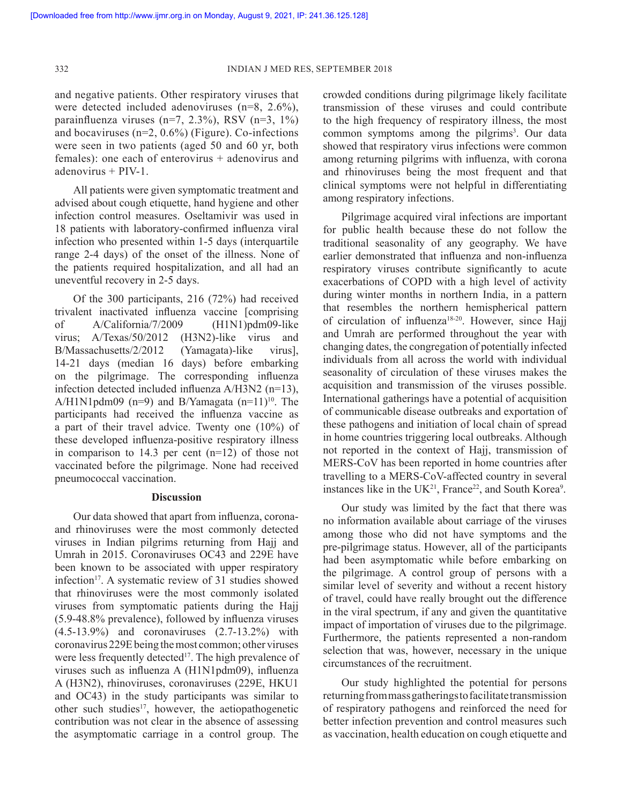and negative patients. Other respiratory viruses that were detected included adenoviruses (n=8, 2.6%), parainfluenza viruses (n=7, 2.3%), RSV (n=3, 1%) and bocaviruses (n=2, 0.6%) (Figure). Co-infections were seen in two patients (aged 50 and 60 yr, both females): one each of enterovirus  $+$  adenovirus and adenovirus + PIV-1.

All patients were given symptomatic treatment and advised about cough etiquette, hand hygiene and other infection control measures. Oseltamivir was used in 18 patients with laboratory-confirmed influenza viral infection who presented within 1-5 days (interquartile range 2-4 days) of the onset of the illness. None of the patients required hospitalization, and all had an uneventful recovery in 2-5 days.

Of the 300 participants, 216 (72%) had received trivalent inactivated influenza vaccine [comprising of A/California/7/2009 (H1N1)pdm09-like virus; A/Texas/50/2012 (H3N2)-like virus and B/Massachusetts/2/2012 (Yamagata)-like virus], 14-21 days (median 16 days) before embarking on the pilgrimage. The corresponding influenza infection detected included influenza A/H3N2 (n=13), A/H1N1pdm09 (n=9) and B/Yamagata  $(n=11)^{10}$ . The participants had received the influenza vaccine as a part of their travel advice. Twenty one (10%) of these developed influenza-positive respiratory illness in comparison to 14.3 per cent (n=12) of those not vaccinated before the pilgrimage. None had received pneumococcal vaccination.

## **Discussion**

Our data showed that apart from influenza, coronaand rhinoviruses were the most commonly detected viruses in Indian pilgrims returning from Hajj and Umrah in 2015. Coronaviruses OC43 and 229E have been known to be associated with upper respiratory infection<sup>17</sup>. A systematic review of 31 studies showed that rhinoviruses were the most commonly isolated viruses from symptomatic patients during the Hajj (5.9-48.8% prevalence), followed by influenza viruses (4.5-13.9%) and coronaviruses (2.7-13.2%) with coronavirus 229E being the most common; other viruses were less frequently detected<sup>17</sup>. The high prevalence of viruses such as influenza A (H1N1pdm09), influenza A (H3N2), rhinoviruses, coronaviruses (229E, HKU1 and OC43) in the study participants was similar to other such studies<sup>17</sup>, however, the aetiopathogenetic contribution was not clear in the absence of assessing the asymptomatic carriage in a control group. The

crowded conditions during pilgrimage likely facilitate transmission of these viruses and could contribute to the high frequency of respiratory illness, the most common symptoms among the pilgrims<sup>3</sup>. Our data showed that respiratory virus infections were common among returning pilgrims with influenza, with corona and rhinoviruses being the most frequent and that clinical symptoms were not helpful in differentiating among respiratory infections.

Pilgrimage acquired viral infections are important for public health because these do not follow the traditional seasonality of any geography. We have earlier demonstrated that influenza and non-influenza respiratory viruses contribute significantly to acute exacerbations of COPD with a high level of activity during winter months in northern India, in a pattern that resembles the northern hemispherical pattern of circulation of influenza<sup>18-20</sup>. However, since Hajj and Umrah are performed throughout the year with changing dates, the congregation of potentially infected individuals from all across the world with individual seasonality of circulation of these viruses makes the acquisition and transmission of the viruses possible. International gatherings have a potential of acquisition of communicable disease outbreaks and exportation of these pathogens and initiation of local chain of spread in home countries triggering local outbreaks. Although not reported in the context of Hajj, transmission of MERS-CoV has been reported in home countries after travelling to a MERS-CoV-affected country in several instances like in the UK<sup>21</sup>, France<sup>22</sup>, and South Korea<sup>9</sup>.

Our study was limited by the fact that there was no information available about carriage of the viruses among those who did not have symptoms and the pre-pilgrimage status. However, all of the participants had been asymptomatic while before embarking on the pilgrimage. A control group of persons with a similar level of severity and without a recent history of travel, could have really brought out the difference in the viral spectrum, if any and given the quantitative impact of importation of viruses due to the pilgrimage. Furthermore, the patients represented a non-random selection that was, however, necessary in the unique circumstances of the recruitment.

Our study highlighted the potential for persons returning from mass gatherings to facilitate transmission of respiratory pathogens and reinforced the need for better infection prevention and control measures such as vaccination, health education on cough etiquette and